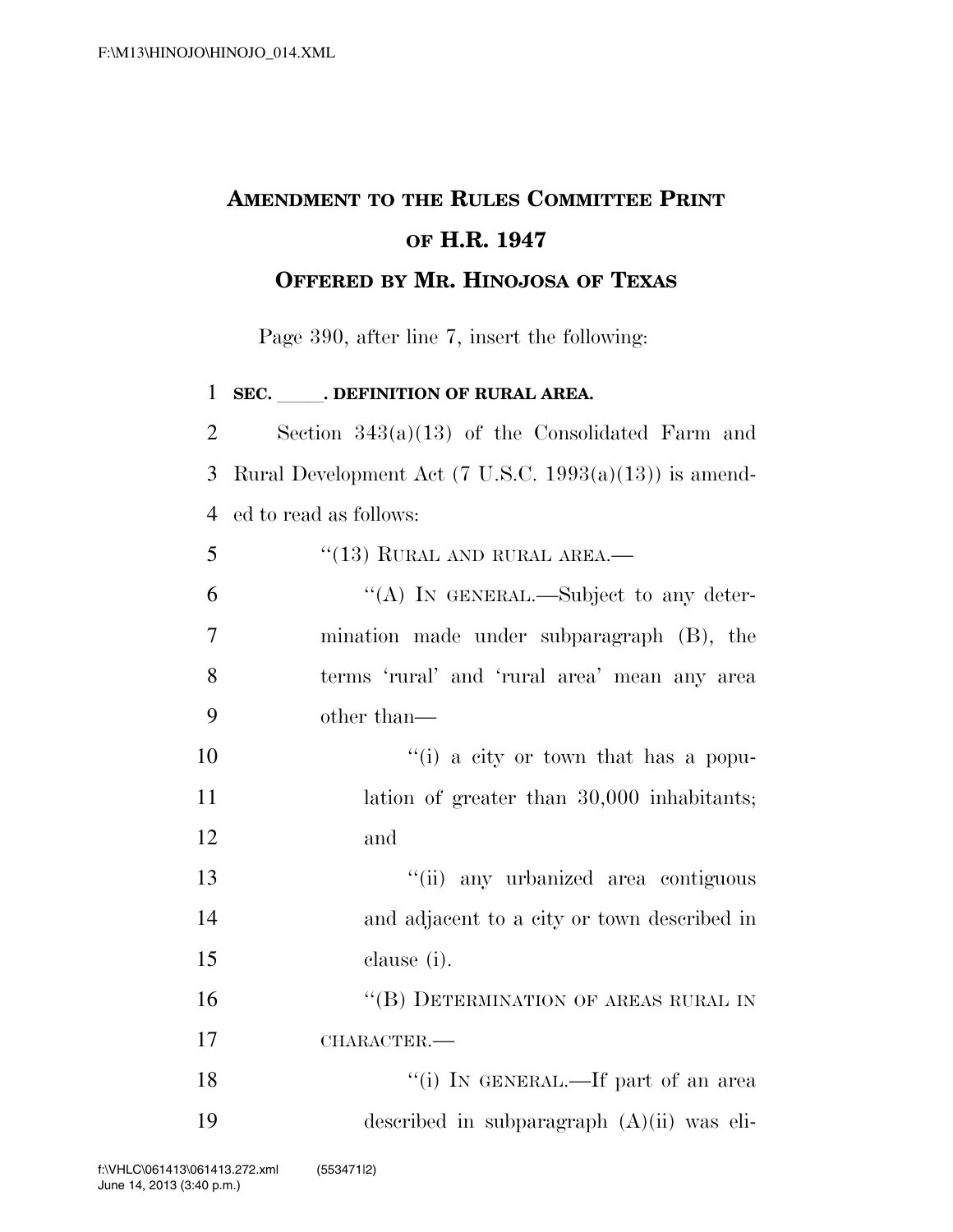## **AMENDMENT TO THE RULES COMMITTEE PRINT OF H.R. 1947 OFFERED BY MR. HINOJOSA OF TEXAS**

Page 390, after line 7, insert the following:

**SEC.** . DEFINITION OF RURAL AREA. Section 343(a)(13) of the Consolidated Farm and Rural Development Act (7 U.S.C. 1993(a)(13)) is amend- ed to read as follows:  $\frac{1}{2}$   $\frac{1}{3}$  RURAL AND RURAL AREA.  $\mathfrak{g}$   $\mathfrak{g}$   $\mathfrak{g}$  In GENERAL.—Subject to any deter- mination made under subparagraph (B), the terms 'rural' and 'rural area' mean any area other than—  $\frac{1}{10}$  a city or town that has a popu-11 lation of greater than 30,000 inhabitants; 12 and 13 ''(ii) any urbanized area contiguous and adjacent to a city or town described in clause (i). 16 "(B) DETERMINATION OF AREAS RURAL IN CHARACTER.— 18 ''(i) IN GENERAL.—If part of an area described in subparagraph (A)(ii) was eli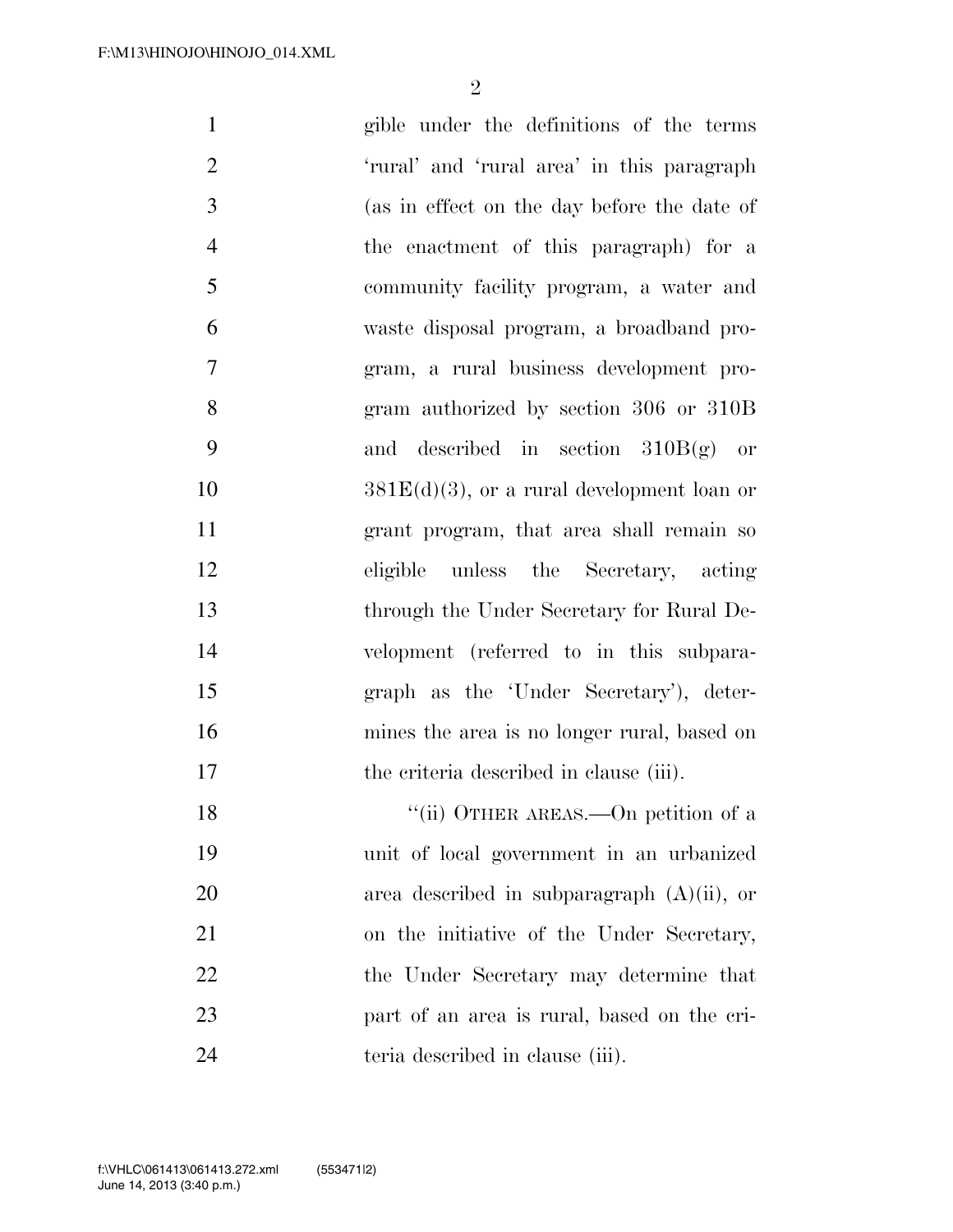$\mathfrak{D}$ 

 gible under the definitions of the terms 'rural' and 'rural area' in this paragraph (as in effect on the day before the date of the enactment of this paragraph) for a community facility program, a water and waste disposal program, a broadband pro- gram, a rural business development pro- gram authorized by section 306 or 310B and described in section 310B(g) or  $381E(d)(3)$ , or a rural development loan or grant program, that area shall remain so eligible unless the Secretary, acting through the Under Secretary for Rural De- velopment (referred to in this subpara- graph as the 'Under Secretary'), deter- mines the area is no longer rural, based on 17 the criteria described in clause (iii). 18 ''(ii) OTHER AREAS.—On petition of a unit of local government in an urbanized area described in subparagraph (A)(ii), or on the initiative of the Under Secretary, 22 the Under Secretary may determine that part of an area is rural, based on the cri-teria described in clause (iii).